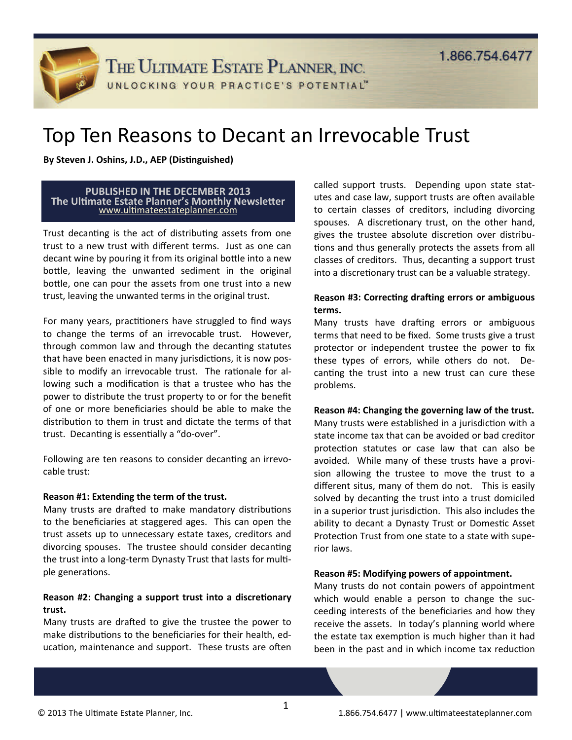THE ULTIMATE ESTATE PLANNER, INC.

UNLOCKING YOUR PRACTICE'S POTENTIAL"

# Top Ten Reasons to Decant an Irrevocable Trust

**By Steven J. Oshins, J.D., AEP** (Distinguished)

#### **PUBLISHED IN THE DECEMBER 2013 The UlƟmate Estate Planner's Monthly NewsleƩer** www.ulti[mateestateplanner.com](http://ultimateestateplanner.com/lawyer/The-Ultimate-Estate-Planner-Newsletter_cp8142.htm)

Trust decanting is the act of distributing assets from one trust to a new trust with different terms. Just as one can decant wine by pouring it from its original bottle into a new bottle, leaving the unwanted sediment in the original bottle, one can pour the assets from one trust into a new trust, leaving the unwanted terms in the original trust.

For many years, practitioners have struggled to find ways to change the terms of an irrevocable trust. However, through common law and through the decanting statutes that have been enacted in many jurisdictions, it is now possible to modify an irrevocable trust. The rationale for allowing such a modification is that a trustee who has the power to distribute the trust property to or for the benefit of one or more beneficiaries should be able to make the distribution to them in trust and dictate the terms of that trust. Decanting is essentially a "do-over".

Following are ten reasons to consider decanting an irrevocable trust:

## **Reason #1: Extending the term of the trust.**

Many trusts are drafted to make mandatory distributions to the beneficiaries at staggered ages. This can open the trust assets up to unnecessary estate taxes, creditors and divorcing spouses. The trustee should consider decanting the trust into a long-term Dynasty Trust that lasts for multiple generations.

# **Reason #2: Changing a support trust into a discretionary trust.**

Many trusts are drafted to give the trustee the power to make distributions to the beneficiaries for their health, education, maintenance and support. These trusts are often

called support trusts. Depending upon state statutes and case law, support trusts are often available to certain classes of creditors, including divorcing spouses. A discretionary trust, on the other hand, gives the trustee absolute discretion over distributions and thus generally protects the assets from all classes of creditors. Thus, decanting a support trust into a discretionary trust can be a valuable strategy.

# **Reason #3: Correcting drafting errors or ambiguous terms.**

Many trusts have drafting errors or ambiguous terms that need to be fixed. Some trusts give a trust protector or independent trustee the power to fix these types of errors, while others do not. Decanting the trust into a new trust can cure these problems.

## **Reason #4: Changing the governing law of the trust.**

Many trusts were established in a jurisdiction with a state income tax that can be avoided or bad creditor protection statutes or case law that can also be avoided. While many of these trusts have a provision allowing the trustee to move the trust to a different situs, many of them do not. This is easily solved by decanting the trust into a trust domiciled in a superior trust jurisdiction. This also includes the ability to decant a Dynasty Trust or Domestic Asset Protection Trust from one state to a state with superior laws.

## **Reason #5: Modifying powers of appointment.**

Many trusts do not contain powers of appointment which would enable a person to change the succeeding interests of the beneficiaries and how they receive the assets. In today's planning world where the estate tax exemption is much higher than it had been in the past and in which income tax reduction